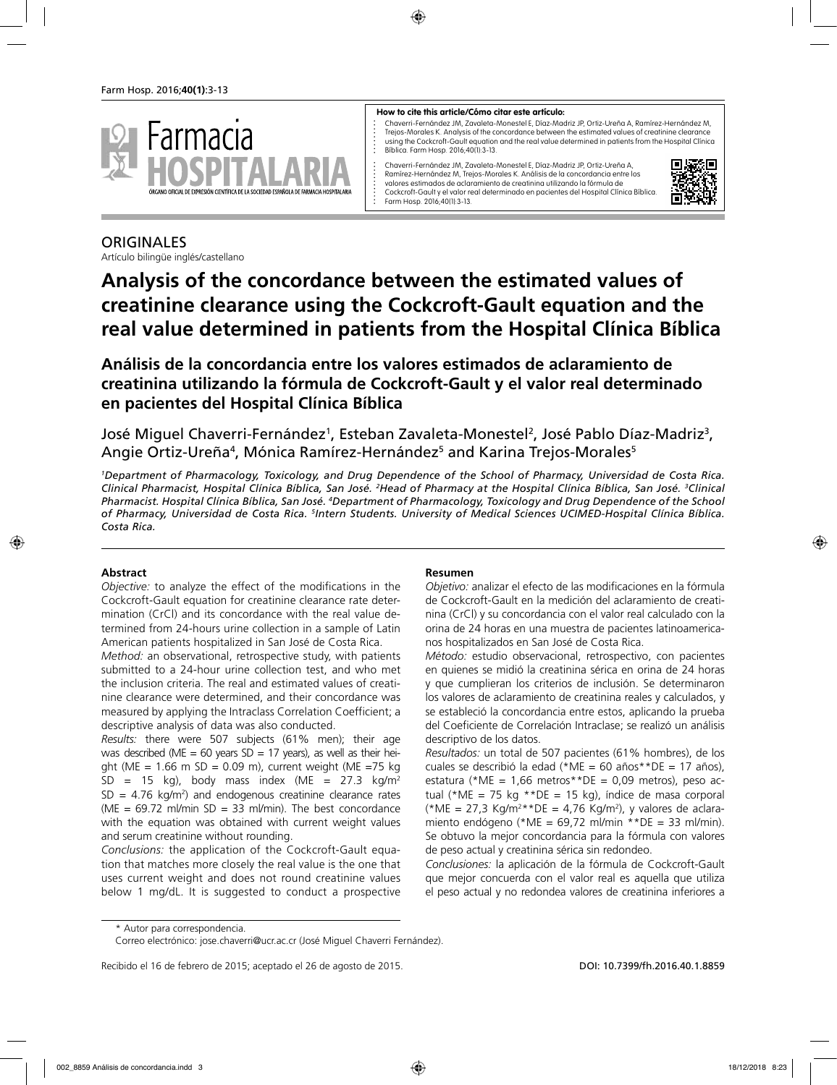

#### **How to cite this article/Cómo citar este artículo:**

Chaverri-Fernández JM, Zavaleta-Monestel E, Díaz-Madriz JP, Ortiz-Ureña A, Ramírez-Hernández M, Trejos-Morales K. Analysis of the concordance between the estimated values of creatinine clearance using the Cockcroft-Gault equation and the real value determined in patients from the Hospital Clínica Bíblica. Farm Hosp. 2016;40(1):3-13.

Chaverri-Fernández JM, Zavaleta-Monestel E, Díaz-Madriz JP, Ortiz-Ureña A, Ramírez-Hernández M, Trejos-Morales K. Análisis de la concordancia entre los valores estimados de aclaramiento de creatinina utilizando la fórmula de Cockcroft-Gault y el valor real determinado en pacientes del Hospital Clínica Bíblica. Farm Hosp. 2016;40(1):3-13.



# **ORIGINALES**

Artículo bilingüe inglés/castellano

# **Analysis of the concordance between the estimated values of creatinine clearance using the Cockcroft-Gault equation and the real value determined in patients from the Hospital Clínica Bíblica**

 $\vdots$ 

**Análisis de la concordancia entre los valores estimados de aclaramiento de creatinina utilizando la fórmula de Cockcroft-Gault y el valor real determinado en pacientes del Hospital Clínica Bíblica**

José Miguel Chaverri-Fernández<sup>1</sup>, Esteban Zavaleta-Monestel<sup>2</sup>, José Pablo Díaz-Madriz<sup>3</sup>, Angie Ortiz-Ureña<sup>4</sup>, Mónica Ramírez-Hernández<sup>5</sup> and Karina Trejos-Morales<sup>5</sup>

*1 Department of Pharmacology, Toxicology, and Drug Dependence of the School of Pharmacy, Universidad de Costa Rica.*  Clinical Pharmacist, Hospital Clínica Bíblica, San José. <sup>2</sup>Head of Pharmacy at the Hospital Clínica Bíblica, San José. <sup>3</sup>Clinical *Pharmacist. Hospital Clínica Bíblica, San José. 4 Department of Pharmacology, Toxicology and Drug Dependence of the School*  of Pharmacy, Universidad de Costa Rica. <sup>s</sup>Intern Students. University of Medical Sciences UCIMED-Hospital Clínica Bíblica. *Costa Rica.*

#### **Abstract**

*Objective:* to analyze the effect of the modifications in the Cockcroft-Gault equation for creatinine clearance rate determination (CrCl) and its concordance with the real value determined from 24-hours urine collection in a sample of Latin American patients hospitalized in San José de Costa Rica.

*Method:* an observational, retrospective study, with patients submitted to a 24-hour urine collection test, and who met the inclusion criteria. The real and estimated values of creatinine clearance were determined, and their concordance was measured by applying the Intraclass Correlation Coefficient; a descriptive analysis of data was also conducted.

*Results:* there were 507 subjects (61% men); their age was described (ME = 60 years  $SD = 17$  years), as well as their height (ME =  $1.66$  m SD =  $0.09$  m), current weight (ME =75 kg  $SD = 15$  kg), body mass index (ME = 27.3 kg/m<sup>2</sup>  $SD = 4.76 \text{ kg/m}^2$  and endogenous creatinine clearance rates (ME =  $69.72$  ml/min SD = 33 ml/min). The best concordance with the equation was obtained with current weight values and serum creatinine without rounding.

*Conclusions:* the application of the Cockcroft-Gault equation that matches more closely the real value is the one that uses current weight and does not round creatinine values below 1 mg/dL. It is suggested to conduct a prospective

#### **Resumen**

*Objetivo:* analizar el efecto de las modificaciones en la fórmula de Cockcroft-Gault en la medición del aclaramiento de creatinina (CrCl) y su concordancia con el valor real calculado con la orina de 24 horas en una muestra de pacientes latinoamericanos hospitalizados en San José de Costa Rica.

*Método:* estudio observacional, retrospectivo, con pacientes en quienes se midió la creatinina sérica en orina de 24 horas y que cumplieran los criterios de inclusión. Se determinaron los valores de aclaramiento de creatinina reales y calculados, y se estableció la concordancia entre estos, aplicando la prueba del Coeficiente de Correlación Intraclase; se realizó un análisis descriptivo de los datos.

*Resultados:* un total de 507 pacientes (61% hombres), de los cuales se describió la edad (\*ME = 60 años\*\*DE = 17 años), estatura (\*ME = 1,66 metros\*\*DE = 0,09 metros), peso actual (\*ME = 75 kg \*\*DE = 15 kg), índice de masa corporal (\*ME = 27,3 Kg/m<sup>2</sup>\*\*DE = 4,76 Kg/m<sup>2</sup>), y valores de aclaramiento endógeno (\*ME =  $69,72$  ml/min \*\*DE = 33 ml/min). Se obtuvo la mejor concordancia para la fórmula con valores de peso actual y creatinina sérica sin redondeo.

*Conclusiones:* la aplicación de la fórmula de Cockcroft-Gault que mejor concuerda con el valor real es aquella que utiliza el peso actual y no redondea valores de creatinina inferiores a

Recibido el 16 de febrero de 2015; aceptado el 26 de agosto de 2015. DOI: 10.7399/fh.2016.40.1.8859

<sup>\*</sup> Autor para correspondencia.

Correo electrónico: jose.chaverri@ucr.ac.cr (José Miguel Chaverri Fernández).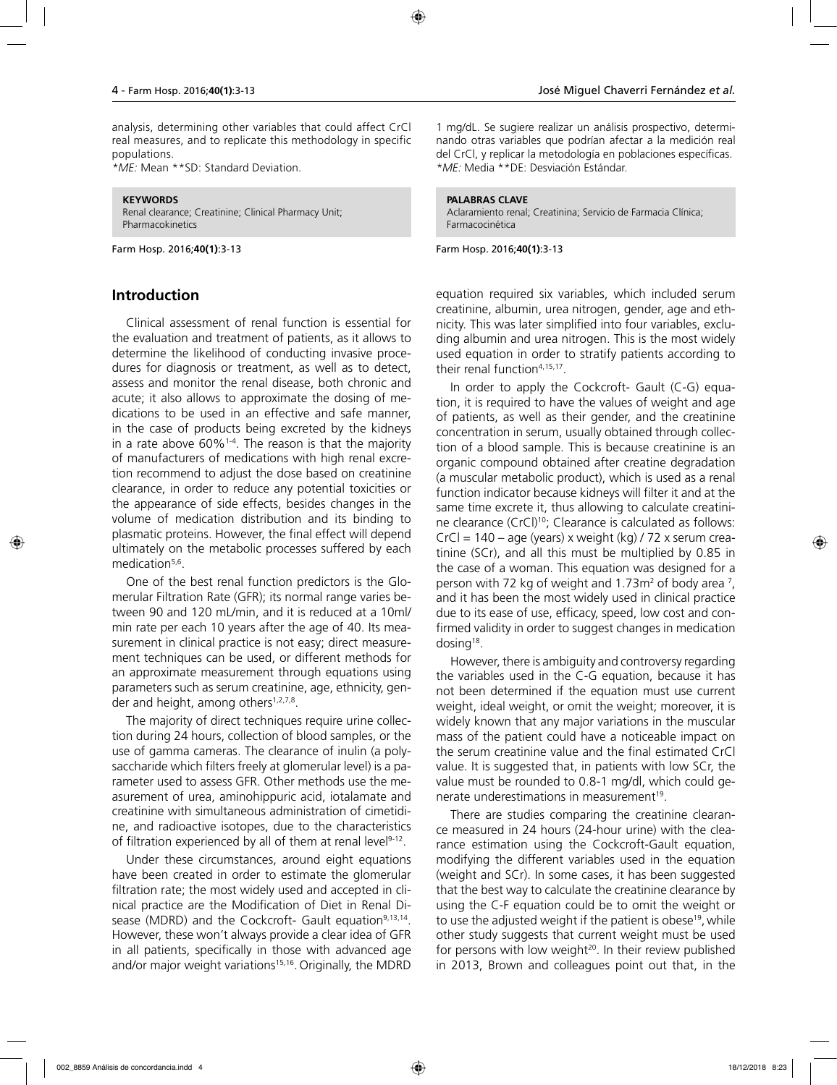analysis, determining other variables that could affect CrCl real measures, and to replicate this methodology in specific populations.

*\*ME:* Mean \*\*SD: Standard Deviation.

#### **KEYWORDS**

Renal clearance; Creatinine; Clinical Pharmacy Unit; Pharmacokinetics

Farm Hosp. 2016;**40(1)**:3-13

#### **Introduction**

Clinical assessment of renal function is essential for the evaluation and treatment of patients, as it allows to determine the likelihood of conducting invasive procedures for diagnosis or treatment, as well as to detect, assess and monitor the renal disease, both chronic and acute; it also allows to approximate the dosing of medications to be used in an effective and safe manner, in the case of products being excreted by the kidneys in a rate above  $60\%$ <sup>1-4</sup>. The reason is that the majority of manufacturers of medications with high renal excretion recommend to adjust the dose based on creatinine clearance, in order to reduce any potential toxicities or the appearance of side effects, besides changes in the volume of medication distribution and its binding to plasmatic proteins. However, the final effect will depend ultimately on the metabolic processes suffered by each medication<sup>5,6</sup>.

One of the best renal function predictors is the Glomerular Filtration Rate (GFR); its normal range varies between 90 and 120 mL/min, and it is reduced at a 10ml/ min rate per each 10 years after the age of 40. Its measurement in clinical practice is not easy; direct measurement techniques can be used, or different methods for an approximate measurement through equations using parameters such as serum creatinine, age, ethnicity, gender and height, among others<sup>1,2,7,8</sup>.

The majority of direct techniques require urine collection during 24 hours, collection of blood samples, or the use of gamma cameras. The clearance of inulin (a polysaccharide which filters freely at glomerular level) is a parameter used to assess GFR. Other methods use the measurement of urea, aminohippuric acid, iotalamate and creatinine with simultaneous administration of cimetidine, and radioactive isotopes, due to the characteristics of filtration experienced by all of them at renal level<sup>9-12</sup>.

Under these circumstances, around eight equations have been created in order to estimate the glomerular filtration rate; the most widely used and accepted in clinical practice are the Modification of Diet in Renal Disease (MDRD) and the Cockcroft- Gault equation<sup>9,13,14</sup>. However, these won't always provide a clear idea of GFR in all patients, specifically in those with advanced age and/or major weight variations<sup>15,16</sup>. Originally, the MDRD 1 mg/dL. Se sugiere realizar un análisis prospectivo, determinando otras variables que podrían afectar a la medición real del CrCl, y replicar la metodología en poblaciones específicas. *\*ME:* Media \*\*DE: Desviación Estándar.

#### **PALABRAS CLAVE**

Aclaramiento renal; Creatinina; Servicio de Farmacia Clínica; Farmacocinética

Farm Hosp. 2016;**40(1)**:3-13

equation required six variables, which included serum creatinine, albumin, urea nitrogen, gender, age and ethnicity. This was later simplified into four variables, excluding albumin and urea nitrogen. This is the most widely used equation in order to stratify patients according to their renal function<sup>4,15,17</sup>.

In order to apply the Cockcroft- Gault (C-G) equation, it is required to have the values of weight and age of patients, as well as their gender, and the creatinine concentration in serum, usually obtained through collection of a blood sample. This is because creatinine is an organic compound obtained after creatine degradation (a muscular metabolic product), which is used as a renal function indicator because kidneys will filter it and at the same time excrete it, thus allowing to calculate creatinine clearance (CrCl)<sup>10</sup>; Clearance is calculated as follows:  $CrCl = 140 - age$  (years) x weight (kg) / 72 x serum creatinine (SCr), and all this must be multiplied by 0.85 in the case of a woman. This equation was designed for a person with 72 kg of weight and 1.73 $m<sup>2</sup>$  of body area  $<sup>7</sup>$ ,</sup> and it has been the most widely used in clinical practice due to its ease of use, efficacy, speed, low cost and confirmed validity in order to suggest changes in medication  $dosing<sup>18</sup>$ .

However, there is ambiguity and controversy regarding the variables used in the C-G equation, because it has not been determined if the equation must use current weight, ideal weight, or omit the weight; moreover, it is widely known that any major variations in the muscular mass of the patient could have a noticeable impact on the serum creatinine value and the final estimated CrCl value. It is suggested that, in patients with low SCr, the value must be rounded to 0.8-1 mg/dl, which could generate underestimations in measurement<sup>19</sup>.

There are studies comparing the creatinine clearance measured in 24 hours (24-hour urine) with the clearance estimation using the Cockcroft-Gault equation, modifying the different variables used in the equation (weight and SCr). In some cases, it has been suggested that the best way to calculate the creatinine clearance by using the C-F equation could be to omit the weight or to use the adjusted weight if the patient is obese<sup>19</sup>, while other study suggests that current weight must be used for persons with low weight<sup>20</sup>. In their review published in 2013, Brown and colleagues point out that, in the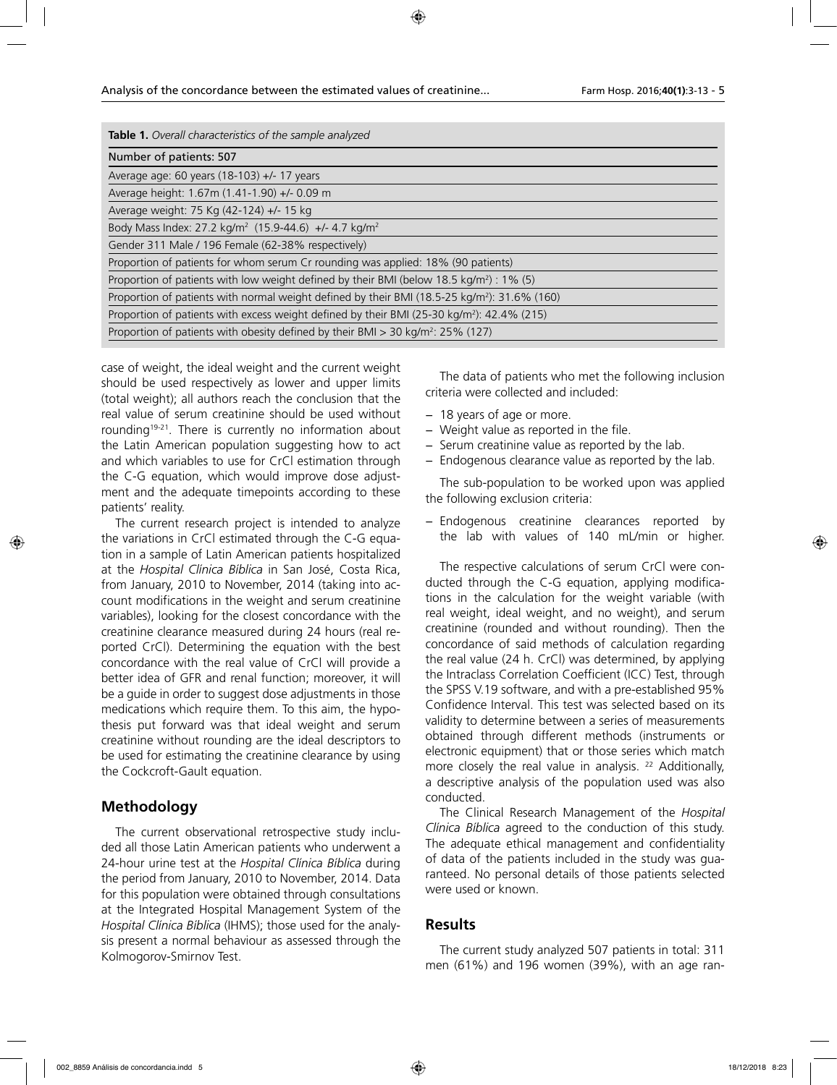| Table 1. Overall characteristics of the sample analyzed                                                  |
|----------------------------------------------------------------------------------------------------------|
| Number of patients: 507                                                                                  |
| Average age: 60 years (18-103) +/- 17 years                                                              |
| Average height: 1.67m (1.41-1.90) +/- 0.09 m                                                             |
| Average weight: 75 Kg (42-124) +/- 15 kg                                                                 |
| Body Mass Index: 27.2 kg/m <sup>2</sup> (15.9-44.6) +/- 4.7 kg/m <sup>2</sup>                            |
| Gender 311 Male / 196 Female (62-38% respectively)                                                       |
| Proportion of patients for whom serum Cr rounding was applied: 18% (90 patients)                         |
| Proportion of patients with low weight defined by their BMI (below 18.5 kg/m <sup>2</sup> ) : 1% (5)     |
| Proportion of patients with normal weight defined by their BMI (18.5-25 kg/m <sup>2</sup> ): 31.6% (160) |
| Proportion of patients with excess weight defined by their BMI (25-30 kg/m <sup>2</sup> ): 42.4% (215)   |
| Proportion of patients with obesity defined by their BMI > 30 kg/m <sup>2</sup> : 25% (127)              |

case of weight, the ideal weight and the current weight should be used respectively as lower and upper limits (total weight); all authors reach the conclusion that the real value of serum creatinine should be used without rounding<sup>19-21</sup>. There is currently no information about the Latin American population suggesting how to act and which variables to use for CrCl estimation through the C-G equation, which would improve dose adjustment and the adequate timepoints according to these patients' reality.

The current research project is intended to analyze the variations in CrCl estimated through the C-G equation in a sample of Latin American patients hospitalized at the *Hospital Clínica Bíblica* in San José, Costa Rica, from January, 2010 to November, 2014 (taking into account modifications in the weight and serum creatinine variables), looking for the closest concordance with the creatinine clearance measured during 24 hours (real reported CrCl). Determining the equation with the best concordance with the real value of CrCl will provide a better idea of GFR and renal function; moreover, it will be a guide in order to suggest dose adjustments in those medications which require them. To this aim, the hypothesis put forward was that ideal weight and serum creatinine without rounding are the ideal descriptors to be used for estimating the creatinine clearance by using the Cockcroft-Gault equation.

## **Methodology**

The current observational retrospective study included all those Latin American patients who underwent a 24-hour urine test at the *Hospital Clínica Bíblica* during the period from January, 2010 to November, 2014. Data for this population were obtained through consultations at the Integrated Hospital Management System of the *Hospital Clínica Bíblica* (IHMS); those used for the analysis present a normal behaviour as assessed through the Kolmogorov-Smirnov Test.

The data of patients who met the following inclusion criteria were collected and included:

- − 18 years of age or more.
- − Weight value as reported in the file.
- − Serum creatinine value as reported by the lab.
- − Endogenous clearance value as reported by the lab.

The sub-population to be worked upon was applied the following exclusion criteria:

− Endogenous creatinine clearances reported by the lab with values of 140 mL/min or higher.

The respective calculations of serum CrCl were conducted through the C-G equation, applying modifications in the calculation for the weight variable (with real weight, ideal weight, and no weight), and serum creatinine (rounded and without rounding). Then the concordance of said methods of calculation regarding the real value (24 h. CrCl) was determined, by applying the Intraclass Correlation Coefficient (ICC) Test, through the SPSS V.19 software, and with a pre-established 95% Confidence Interval. This test was selected based on its validity to determine between a series of measurements obtained through different methods (instruments or electronic equipment) that or those series which match more closely the real value in analysis. <sup>22</sup> Additionally, a descriptive analysis of the population used was also conducted.

The Clinical Research Management of the *Hospital Clínica Bíblica* agreed to the conduction of this study. The adequate ethical management and confidentiality of data of the patients included in the study was guaranteed. No personal details of those patients selected were used or known.

#### **Results**

The current study analyzed 507 patients in total: 311 men (61%) and 196 women (39%), with an age ran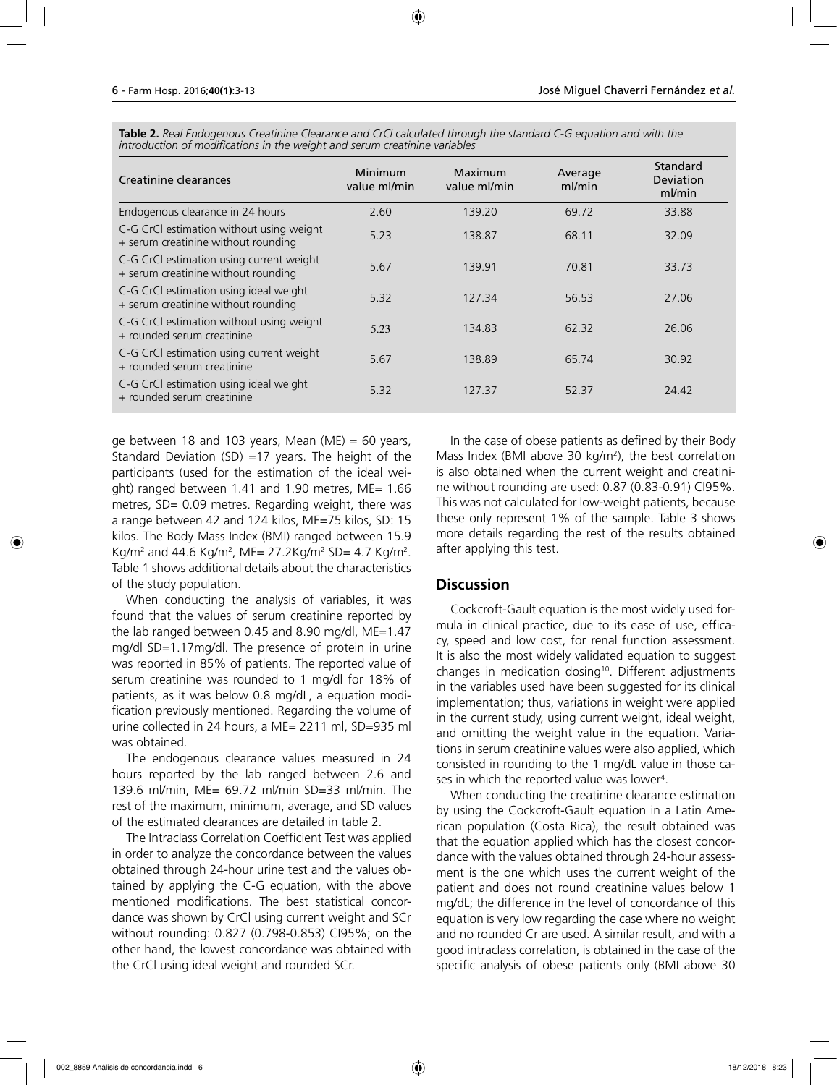**Table 2.** *Real Endogenous Creatinine Clearance and CrCl calculated through the standard C-G equation and with the introduction of modifications in the weight and serum creatinine variables* 

| Creatinine clearances                                                           | Minimum<br>value ml/min | Maximum<br>value ml/min | Average<br>ml/min | Standard<br>Deviation<br>ml/min |
|---------------------------------------------------------------------------------|-------------------------|-------------------------|-------------------|---------------------------------|
| Endogenous clearance in 24 hours                                                | 2.60                    | 139.20                  | 69.72             | 33.88                           |
| C-G CrCl estimation without using weight<br>+ serum creatinine without rounding | 5.23                    | 138.87                  | 68.11             | 32.09                           |
| C-G CrCl estimation using current weight<br>+ serum creatinine without rounding | 5.67                    | 139.91                  | 70.81             | 33.73                           |
| C-G CrCl estimation using ideal weight<br>+ serum creatinine without rounding   | 5.32                    | 127.34                  | 56.53             | 27.06                           |
| C-G CrCl estimation without using weight<br>+ rounded serum creatinine          | 5.23                    | 134.83                  | 62.32             | 26.06                           |
| C-G CrCl estimation using current weight<br>+ rounded serum creatinine          | 5.67                    | 138.89                  | 65.74             | 30.92                           |
| C-G CrCl estimation using ideal weight<br>+ rounded serum creatinine            | 5.32                    | 127.37                  | 52.37             | 24.42                           |

ge between 18 and 103 years, Mean  $(ME) = 60$  years, Standard Deviation (SD)  $=17$  years. The height of the participants (used for the estimation of the ideal weight) ranged between 1.41 and 1.90 metres, ME= 1.66 metres, SD= 0.09 metres. Regarding weight, there was a range between 42 and 124 kilos, ME=75 kilos, SD: 15 kilos. The Body Mass Index (BMI) ranged between 15.9 Kg/m<sup>2</sup> and 44.6 Kg/m<sup>2</sup>, ME= 27.2Kg/m<sup>2</sup> SD= 4.7 Kg/m<sup>2</sup>. Table 1 shows additional details about the characteristics of the study population.

When conducting the analysis of variables, it was found that the values of serum creatinine reported by the lab ranged between 0.45 and 8.90 mg/dl, ME=1.47 mg/dl SD=1.17mg/dl. The presence of protein in urine was reported in 85% of patients. The reported value of serum creatinine was rounded to 1 mg/dl for 18% of patients, as it was below 0.8 mg/dL, a equation modification previously mentioned. Regarding the volume of urine collected in 24 hours, a ME= 2211 ml, SD=935 ml was obtained.

The endogenous clearance values measured in 24 hours reported by the lab ranged between 2.6 and 139.6 ml/min, ME= 69.72 ml/min SD=33 ml/min. The rest of the maximum, minimum, average, and SD values of the estimated clearances are detailed in table 2.

The Intraclass Correlation Coefficient Test was applied in order to analyze the concordance between the values obtained through 24-hour urine test and the values obtained by applying the C-G equation, with the above mentioned modifications. The best statistical concordance was shown by CrCl using current weight and SCr without rounding: 0.827 (0.798-0.853) CI95%; on the other hand, the lowest concordance was obtained with the CrCl using ideal weight and rounded SCr.

In the case of obese patients as defined by their Body Mass Index (BMI above 30 kg/m2 ), the best correlation is also obtained when the current weight and creatinine without rounding are used: 0.87 (0.83-0.91) CI95%. This was not calculated for low-weight patients, because these only represent 1% of the sample. Table 3 shows more details regarding the rest of the results obtained after applying this test.

#### **Discussion**

Cockcroft-Gault equation is the most widely used formula in clinical practice, due to its ease of use, efficacy, speed and low cost, for renal function assessment. It is also the most widely validated equation to suggest changes in medication dosing<sup>10</sup>. Different adjustments in the variables used have been suggested for its clinical implementation; thus, variations in weight were applied in the current study, using current weight, ideal weight, and omitting the weight value in the equation. Variations in serum creatinine values were also applied, which consisted in rounding to the 1 mg/dL value in those cases in which the reported value was lower<sup>4</sup>.

When conducting the creatinine clearance estimation by using the Cockcroft-Gault equation in a Latin American population (Costa Rica), the result obtained was that the equation applied which has the closest concordance with the values obtained through 24-hour assessment is the one which uses the current weight of the patient and does not round creatinine values below 1 mg/dL; the difference in the level of concordance of this equation is very low regarding the case where no weight and no rounded Cr are used. A similar result, and with a good intraclass correlation, is obtained in the case of the specific analysis of obese patients only (BMI above 30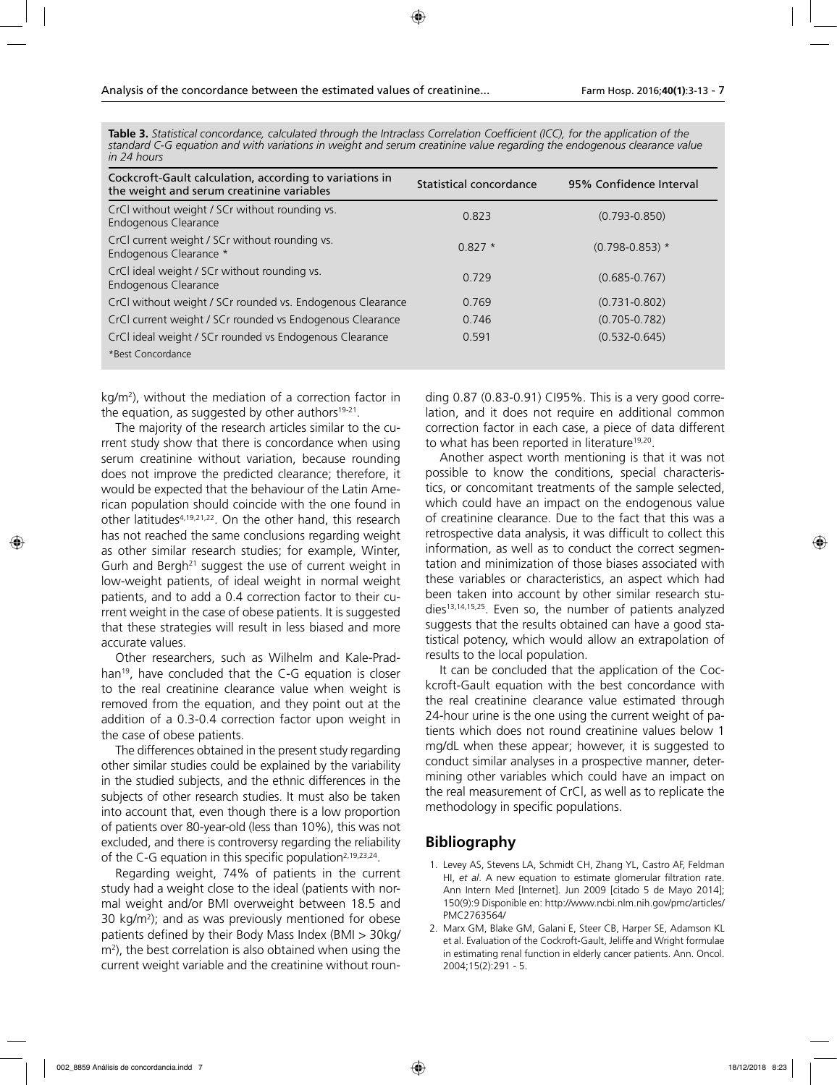| Table 3. Statistical concordance, calculated through the Intraclass Correlation Coefficient (ICC), for the application of the |  |
|-------------------------------------------------------------------------------------------------------------------------------|--|
| standard C-G equation and with variations in weight and serum creatinine value regarding the endogenous clearance value       |  |
| in 24 hours                                                                                                                   |  |

| Cockcroft-Gault calculation, according to variations in<br>the weight and serum creatinine variables | Statistical concordance | 95% Confidence Interval |
|------------------------------------------------------------------------------------------------------|-------------------------|-------------------------|
| CrCl without weight / SCr without rounding vs.<br>Endogenous Clearance                               | 0.823                   | $(0.793 - 0.850)$       |
| CrCl current weight / SCr without rounding vs.<br>Endogenous Clearance *                             | $0.827*$                | $(0.798 - 0.853)$ *     |
| CrCl ideal weight / SCr without rounding vs.<br>Endogenous Clearance                                 | 0.729                   | $(0.685 - 0.767)$       |
| CrCl without weight / SCr rounded vs. Endogenous Clearance                                           | 0.769                   | $(0.731 - 0.802)$       |
| CrCl current weight / SCr rounded vs Endogenous Clearance                                            | 0.746                   | $(0.705 - 0.782)$       |
| CrCl ideal weight / SCr rounded vs Endogenous Clearance                                              | 0.591                   | $(0.532 - 0.645)$       |
| *Best Concordance                                                                                    |                         |                         |

kg/m<sup>2</sup>), without the mediation of a correction factor in the equation, as suggested by other authors $19-21$ .

The majority of the research articles similar to the current study show that there is concordance when using serum creatinine without variation, because rounding does not improve the predicted clearance; therefore, it would be expected that the behaviour of the Latin American population should coincide with the one found in other latitudes4,19,21,22. On the other hand, this research has not reached the same conclusions regarding weight as other similar research studies; for example, Winter, Gurh and Bergh<sup>21</sup> suggest the use of current weight in low-weight patients, of ideal weight in normal weight patients, and to add a 0.4 correction factor to their current weight in the case of obese patients. It is suggested that these strategies will result in less biased and more accurate values.

Other researchers, such as Wilhelm and Kale-Pradhan<sup>19</sup>, have concluded that the C-G equation is closer to the real creatinine clearance value when weight is removed from the equation, and they point out at the addition of a 0.3-0.4 correction factor upon weight in the case of obese patients.

The differences obtained in the present study regarding other similar studies could be explained by the variability in the studied subjects, and the ethnic differences in the subjects of other research studies. It must also be taken into account that, even though there is a low proportion of patients over 80-year-old (less than 10%), this was not excluded, and there is controversy regarding the reliability of the C-G equation in this specific population<sup>2,19,23,24</sup>.

Regarding weight, 74% of patients in the current study had a weight close to the ideal (patients with normal weight and/or BMI overweight between 18.5 and 30 kg/m2 ); and as was previously mentioned for obese patients defined by their Body Mass Index (BMI > 30kg/ m2 ), the best correlation is also obtained when using the current weight variable and the creatinine without roun-

ding 0.87 (0.83-0.91) CI95%. This is a very good correlation, and it does not require en additional common correction factor in each case, a piece of data different to what has been reported in literature<sup>19,20</sup>.

Another aspect worth mentioning is that it was not possible to know the conditions, special characteristics, or concomitant treatments of the sample selected, which could have an impact on the endogenous value of creatinine clearance. Due to the fact that this was a retrospective data analysis, it was difficult to collect this information, as well as to conduct the correct segmentation and minimization of those biases associated with these variables or characteristics, an aspect which had been taken into account by other similar research studies<sup>13,14,15,25</sup>. Even so, the number of patients analyzed suggests that the results obtained can have a good statistical potency, which would allow an extrapolation of results to the local population.

It can be concluded that the application of the Cockcroft-Gault equation with the best concordance with the real creatinine clearance value estimated through 24-hour urine is the one using the current weight of patients which does not round creatinine values below 1 mg/dL when these appear; however, it is suggested to conduct similar analyses in a prospective manner, determining other variables which could have an impact on the real measurement of CrCl, as well as to replicate the methodology in specific populations.

# **Bibliography**

- 1. Levey AS, Stevens LA, Schmidt CH, Zhang YL, Castro AF, Feldman HI, *et al*. A new equation to estimate glomerular filtration rate. Ann Intern Med [Internet]. Jun 2009 [citado 5 de Mayo 2014]; 150(9):9 Disponible en: http://www.ncbi.nlm.nih.gov/pmc/articles/ PMC2763564/
- 2. Marx GM, Blake GM, Galani E, Steer CB, Harper SE, Adamson KL et al. Evaluation of the Cockroft-Gault, Jeliffe and Wright formulae in estimating renal function in elderly cancer patients. Ann. Oncol. 2004;15(2):291 - 5.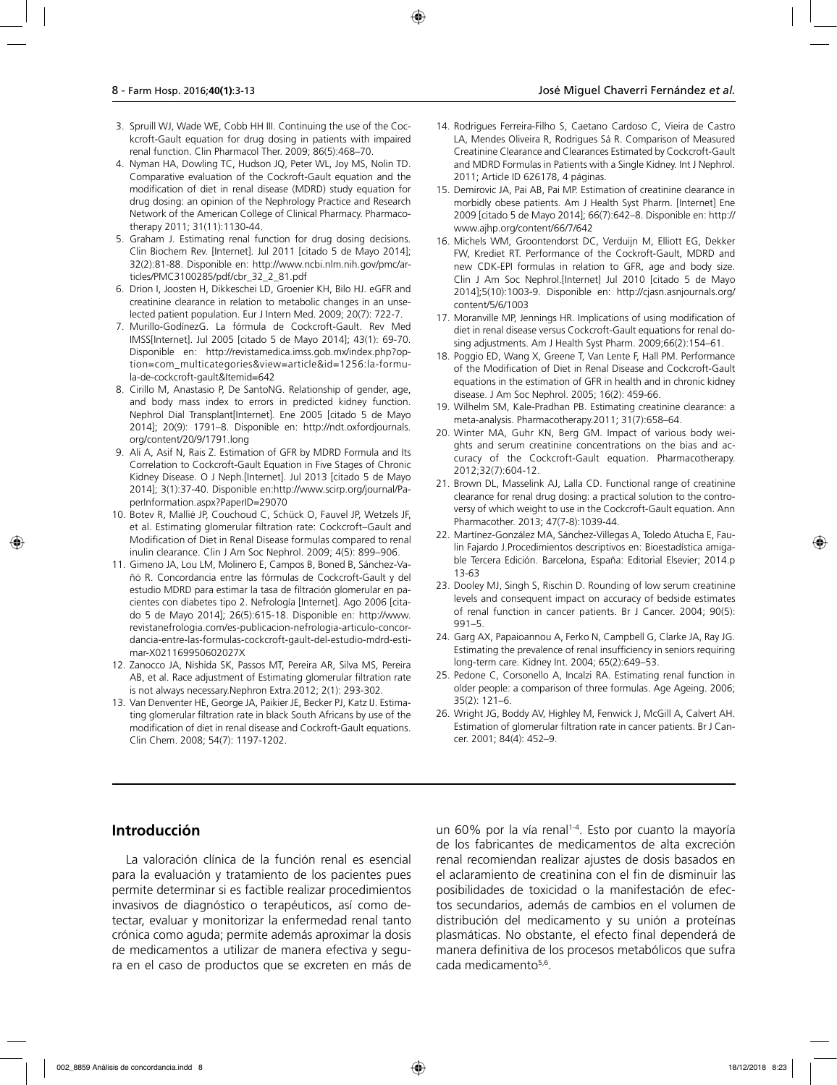- 3. Spruill WJ, Wade WE, Cobb HH III. Continuing the use of the Cockcroft-Gault equation for drug dosing in patients with impaired renal function. Clin Pharmacol Ther. 2009; 86(5):468–70.
- 4. Nyman HA, Dowling TC, Hudson JQ, Peter WL, Joy MS, Nolin TD. Comparative evaluation of the Cockroft-Gault equation and the modification of diet in renal disease (MDRD) study equation for drug dosing: an opinion of the Nephrology Practice and Research Network of the American College of Clinical Pharmacy. Pharmacotherapy 2011; 31(11):1130-44.
- 5. Graham J. Estimating renal function for drug dosing decisions. Clin Biochem Rev. [Internet]. Jul 2011 [citado 5 de Mayo 2014]; 32(2):81-88. Disponible en: http://www.ncbi.nlm.nih.gov/pmc/articles/PMC3100285/pdf/cbr\_32\_2\_81.pdf
- 6. Drion I, Joosten H, Dikkeschei LD, Groenier KH, Bilo HJ. eGFR and creatinine clearance in relation to metabolic changes in an unselected patient population. Eur J Intern Med. 2009; 20(7): 722-7.
- 7. Murillo-GodínezG. La fórmula de Cockcroft-Gault. Rev Med IMSS[Internet]. Jul 2005 [citado 5 de Mayo 2014]; 43(1): 69-70. Disponible en: http://revistamedica.imss.gob.mx/index.php?option=com\_multicategories&view=article&id=1256:la-formula-de-cockcroft-gault&Itemid=642
- 8. Cirillo M, Anastasio P, De SantoNG. Relationship of gender, age, and body mass index to errors in predicted kidney function. Nephrol Dial Transplant[Internet]. Ene 2005 [citado 5 de Mayo 2014]; 20(9): 1791–8. Disponible en: http://ndt.oxfordjournals. org/content/20/9/1791.long
- 9. Ali A, Asif N, Rais Z. Estimation of GFR by MDRD Formula and Its Correlation to Cockcroft-Gault Equation in Five Stages of Chronic Kidney Disease. O J Neph.[Internet]. Jul 2013 [citado 5 de Mayo 2014]; 3(1):37-40. Disponible en:http://www.scirp.org/journal/PaperInformation.aspx?PaperID=29070
- 10. Botev R, Mallié JP, Couchoud C, Schück O, Fauvel JP, Wetzels JF, et al. Estimating glomerular filtration rate: Cockcroft–Gault and Modification of Diet in Renal Disease formulas compared to renal inulin clearance. Clin J Am Soc Nephrol. 2009; 4(5): 899–906.
- 11. Gimeno JA, Lou LM, Molinero E, Campos B, Boned B, Sánchez-Vañó R. Concordancia entre las fórmulas de Cockcroft-Gault y del estudio MDRD para estimar la tasa de filtración glomerular en pacientes con diabetes tipo 2. Nefrología [Internet]. Ago 2006 [citado 5 de Mayo 2014]; 26(5):615-18. Disponible en: http://www. revistanefrologia.com/es-publicacion-nefrologia-articulo-concordancia-entre-las-formulas-cockcroft-gault-del-estudio-mdrd-estimar-X021169950602027X
- 12. Zanocco JA, Nishida SK, Passos MT, Pereira AR, Silva MS, Pereira AB, et al. Race adjustment of Estimating glomerular filtration rate is not always necessary.Nephron Extra.2012; 2(1): 293-302.
- 13. Van Denventer HE, George JA, Paikier JE, Becker PJ, Katz IJ. Estimating glomerular filtration rate in black South Africans by use of the modification of diet in renal disease and Cockroft-Gault equations. Clin Chem. 2008; 54(7): 1197-1202.
- 14. Rodrigues Ferreira-Filho S, Caetano Cardoso C, Vieira de Castro LA, Mendes Oliveira R, Rodrigues Sá R. Comparison of Measured Creatinine Clearance and Clearances Estimated by Cockcroft-Gault and MDRD Formulas in Patients with a Single Kidney. Int J Nephrol. 2011; Article ID 626178, 4 páginas.
- 15. Demirovic JA, Pai AB, Pai MP. Estimation of creatinine clearance in morbidly obese patients. Am J Health Syst Pharm. [Internet] Ene 2009 [citado 5 de Mayo 2014]; 66(7):642–8. Disponible en: http:// www.ajhp.org/content/66/7/642
- 16. Michels WM, Groontendorst DC, Verduijn M, Elliott EG, Dekker FW, Krediet RT. Performance of the Cockroft-Gault, MDRD and new CDK-EPI formulas in relation to GFR, age and body size. Clin J Am Soc Nephrol.[Internet] Jul 2010 [citado 5 de Mayo 2014];5(10):1003-9. Disponible en: http://cjasn.asnjournals.org/ content/5/6/1003
- 17. Moranville MP, Jennings HR. Implications of using modification of diet in renal disease versus Cockcroft-Gault equations for renal dosing adjustments. Am J Health Syst Pharm. 2009;66(2):154–61.
- 18. Poggio ED, Wang X, Greene T, Van Lente F, Hall PM. Performance of the Modification of Diet in Renal Disease and Cockcroft-Gault equations in the estimation of GFR in health and in chronic kidney disease. J Am Soc Nephrol. 2005; 16(2): 459-66.
- 19. Wilhelm SM, Kale-Pradhan PB. Estimating creatinine clearance: a meta-analysis. Pharmacotherapy.2011; 31(7):658–64.
- 20. Winter MA, Guhr KN, Berg GM. Impact of various body weights and serum creatinine concentrations on the bias and accuracy of the Cockcroft-Gault equation. Pharmacotherapy. 2012;32(7):604-12.
- 21. Brown DL, Masselink AJ, Lalla CD. Functional range of creatinine clearance for renal drug dosing: a practical solution to the controversy of which weight to use in the Cockcroft-Gault equation. Ann Pharmacother. 2013; 47(7-8):1039-44.
- 22. Martínez-González MA, Sánchez-Villegas A, Toledo Atucha E, Faulin Fajardo J.Procedimientos descriptivos en: Bioestadística amigable Tercera Edición. Barcelona, España: Editorial Elsevier; 2014.p 13-63
- 23. Dooley MJ, Singh S, Rischin D. Rounding of low serum creatinine levels and consequent impact on accuracy of bedside estimates of renal function in cancer patients. Br J Cancer. 2004; 90(5): 991–5.
- 24. Garg AX, Papaioannou A, Ferko N, Campbell G, Clarke JA, Ray JG. Estimating the prevalence of renal insufficiency in seniors requiring long-term care. Kidney Int. 2004; 65(2):649–53.
- 25. Pedone C, Corsonello A, Incalzi RA. Estimating renal function in older people: a comparison of three formulas. Age Ageing. 2006; 35(2): 121–6.
- 26. Wright JG, Boddy AV, Highley M, Fenwick J, McGill A, Calvert AH. Estimation of glomerular filtration rate in cancer patients. Br J Cancer. 2001; 84(4): 452–9.

## **Introducción**

La valoración clínica de la función renal es esencial para la evaluación y tratamiento de los pacientes pues permite determinar si es factible realizar procedimientos invasivos de diagnóstico o terapéuticos, así como detectar, evaluar y monitorizar la enfermedad renal tanto crónica como aguda; permite además aproximar la dosis de medicamentos a utilizar de manera efectiva y segura en el caso de productos que se excreten en más de

un 60% por la vía renal<sup>1-4</sup>. Esto por cuanto la mayoría de los fabricantes de medicamentos de alta excreción renal recomiendan realizar ajustes de dosis basados en el aclaramiento de creatinina con el fin de disminuir las posibilidades de toxicidad o la manifestación de efectos secundarios, además de cambios en el volumen de distribución del medicamento y su unión a proteínas plasmáticas. No obstante, el efecto final dependerá de manera definitiva de los procesos metabólicos que sufra cada medicamento<sup>5,6</sup>.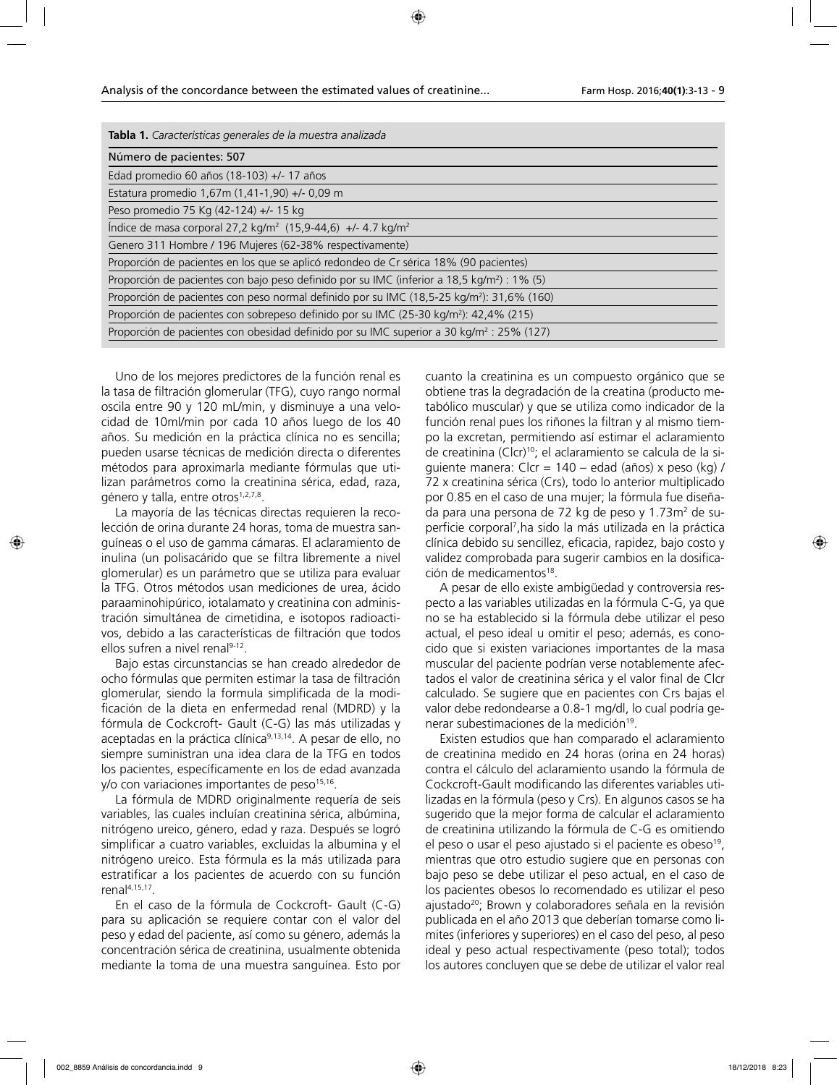| Tabla 1. Características generales de la muestra analizada                                              |
|---------------------------------------------------------------------------------------------------------|
| Número de pacientes: 507                                                                                |
| Edad promedio 60 años (18-103) +/- 17 años                                                              |
| Estatura promedio 1,67m (1,41-1,90) +/- 0,09 m                                                          |
| Peso promedio 75 Kg (42-124) +/- 15 kg                                                                  |
| Indice de masa corporal 27,2 kg/m <sup>2</sup> (15,9-44,6) +/- 4.7 kg/m <sup>2</sup>                    |
| Genero 311 Hombre / 196 Mujeres (62-38% respectivamente)                                                |
| Proporción de pacientes en los que se aplicó redondeo de Cr sérica 18% (90 pacientes)                   |
| Proporción de pacientes con bajo peso definido por su IMC (inferior a 18,5 kg/m <sup>2</sup> ) : 1% (5) |
| Proporción de pacientes con peso normal definido por su IMC (18,5-25 kg/m <sup>2</sup> ): 31,6% (160)   |
| Proporción de pacientes con sobrepeso definido por su IMC (25-30 kg/m <sup>2</sup> ): 42,4% (215)       |
| Proporción de pacientes con obesidad definido por su IMC superior a 30 kg/m <sup>2</sup> : 25% (127)    |

Uno de los mejores predictores de la función renal es la tasa de filtración glomerular (TFG), cuyo rango normal oscila entre 90 y 120 mL/min, y disminuye a una velocidad de 10ml/min por cada 10 años luego de los 40 años. Su medición en la práctica clínica no es sencilla; pueden usarse técnicas de medición directa o diferentes métodos para aproximarla mediante fórmulas que utilizan parámetros como la creatinina sérica, edad, raza, género y talla, entre otros<sup>1,2,7,8</sup>.

La mayoría de las técnicas directas requieren la recolección de orina durante 24 horas, toma de muestra sanguíneas o el uso de gamma cámaras. El aclaramiento de inulina (un polisacárido que se filtra libremente a nivel glomerular) es un parámetro que se utiliza para evaluar la TFG. Otros métodos usan mediciones de urea, ácido paraaminohipúrico, iotalamato y creatinina con administración simultánea de cimetidina, e isotopos radioactivos, debido a las características de filtración que todos ellos sufren a nivel renal<sup>9-12</sup>.

Bajo estas circunstancias se han creado alrededor de ocho fórmulas que permiten estimar la tasa de filtración glomerular, siendo la formula simplificada de la modificación de la dieta en enfermedad renal (MDRD) y la fórmula de Cockcroft- Gault (C-G) las más utilizadas y aceptadas en la práctica clínica<sup>9,13,14</sup>. A pesar de ello, no siempre suministran una idea clara de la TFG en todos los pacientes, específicamente en los de edad avanzada y/o con variaciones importantes de peso<sup>15,16</sup>.

La fórmula de MDRD originalmente requería de seis variables, las cuales incluían creatinina sérica, albúmina, nitrógeno ureico, género, edad y raza. Después se logró simplificar a cuatro variables, excluidas la albumina y el nitrógeno ureico. Esta fórmula es la más utilizada para estratificar a los pacientes de acuerdo con su función renal4,15,17.

En el caso de la fórmula de Cockcroft- Gault (C-G) para su aplicación se requiere contar con el valor del peso y edad del paciente, así como su género, además la concentración sérica de creatinina, usualmente obtenida mediante la toma de una muestra sanguínea. Esto por

cuanto la creatinina es un compuesto orgánico que se obtiene tras la degradación de la creatina (producto metabólico muscular) y que se utiliza como indicador de la función renal pues los riñones la filtran y al mismo tiempo la excretan, permitiendo así estimar el aclaramiento de creatinina (Clcr)<sup>10</sup>; el aclaramiento se calcula de la siguiente manera: Clcr = 140 – edad (años) x peso (kg) / 72 x creatinina sérica (Crs), todo lo anterior multiplicado por 0.85 en el caso de una mujer; la fórmula fue diseñada para una persona de 72 kg de peso y 1.73m<sup>2</sup> de superficie corporal7 ,ha sido la más utilizada en la práctica clínica debido su sencillez, eficacia, rapidez, bajo costo y validez comprobada para sugerir cambios en la dosificación de medicamentos<sup>18</sup>.

A pesar de ello existe ambigüedad y controversia respecto a las variables utilizadas en la fórmula C-G, ya que no se ha establecido si la fórmula debe utilizar el peso actual, el peso ideal u omitir el peso; además, es conocido que si existen variaciones importantes de la masa muscular del paciente podrían verse notablemente afectados el valor de creatinina sérica y el valor final de Clcr calculado. Se sugiere que en pacientes con Crs bajas el valor debe redondearse a 0.8-1 mg/dl, lo cual podría generar subestimaciones de la medición<sup>19</sup>.

Existen estudios que han comparado el aclaramiento de creatinina medido en 24 horas (orina en 24 horas) contra el cálculo del aclaramiento usando la fórmula de Cockcroft-Gault modificando las diferentes variables utilizadas en la fórmula (peso y Crs). En algunos casos se ha sugerido que la mejor forma de calcular el aclaramiento de creatinina utilizando la fórmula de C-G es omitiendo el peso o usar el peso ajustado si el paciente es obeso<sup>19</sup>, mientras que otro estudio sugiere que en personas con bajo peso se debe utilizar el peso actual, en el caso de los pacientes obesos lo recomendado es utilizar el peso ajustado<sup>20</sup>; Brown y colaboradores señala en la revisión publicada en el año 2013 que deberían tomarse como limites (inferiores y superiores) en el caso del peso, al peso ideal y peso actual respectivamente (peso total); todos los autores concluyen que se debe de utilizar el valor real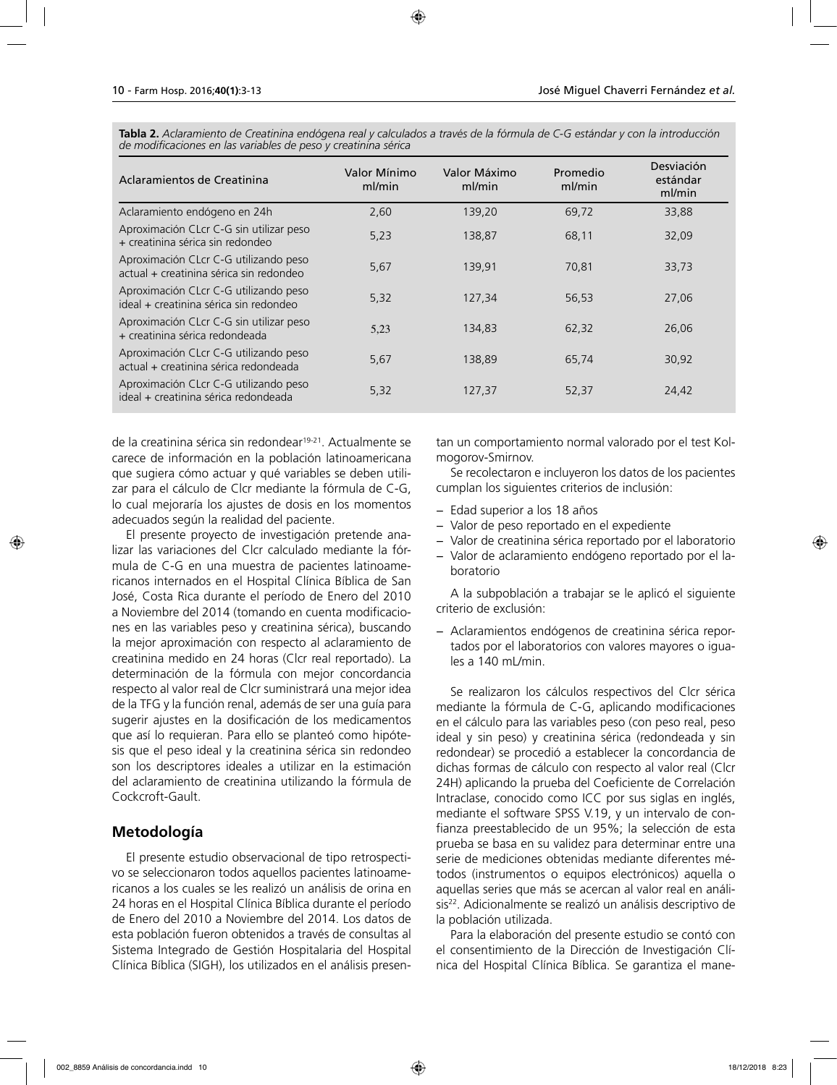**Tabla 2.** *Aclaramiento de Creatinina endógena real y calculados a través de la fórmula de C-G estándar y con la introducción de modificaciones en las variables de peso y creatinina sérica* 

| Aclaramientos de Creatinina                                                      | Valor Mínimo<br>ml/min | Valor Máximo<br>ml/min | Promedio<br>ml/min | Desviación<br>estándar<br>ml/min |
|----------------------------------------------------------------------------------|------------------------|------------------------|--------------------|----------------------------------|
| Aclaramiento endógeno en 24h                                                     | 2,60                   | 139,20                 | 69,72              | 33,88                            |
| Aproximación CLcr C-G sin utilizar peso<br>+ creatinina sérica sin redondeo      | 5,23                   | 138,87                 | 68,11              | 32,09                            |
| Aproximación CLcr C-G utilizando peso<br>actual + creatinina sérica sin redondeo | 5,67                   | 139,91                 | 70,81              | 33,73                            |
| Aproximación CLcr C-G utilizando peso<br>ideal + creatinina sérica sin redondeo  | 5,32                   | 127,34                 | 56,53              | 27,06                            |
| Aproximación CLcr C-G sin utilizar peso<br>+ creatinina sérica redondeada        | 5,23                   | 134,83                 | 62,32              | 26,06                            |
| Aproximación CLcr C-G utilizando peso<br>actual + creatinina sérica redondeada   | 5,67                   | 138,89                 | 65,74              | 30,92                            |
| Aproximación CLcr C-G utilizando peso<br>ideal + creatinina sérica redondeada    | 5,32                   | 127,37                 | 52,37              | 24,42                            |

de la creatinina sérica sin redondear<sup>19-21</sup>. Actualmente se carece de información en la población latinoamericana que sugiera cómo actuar y qué variables se deben utilizar para el cálculo de Clcr mediante la fórmula de C-G, lo cual mejoraría los ajustes de dosis en los momentos adecuados según la realidad del paciente.

El presente proyecto de investigación pretende analizar las variaciones del Clcr calculado mediante la fórmula de C-G en una muestra de pacientes latinoamericanos internados en el Hospital Clínica Bíblica de San José, Costa Rica durante el período de Enero del 2010 a Noviembre del 2014 (tomando en cuenta modificaciones en las variables peso y creatinina sérica), buscando la mejor aproximación con respecto al aclaramiento de creatinina medido en 24 horas (Clcr real reportado). La determinación de la fórmula con mejor concordancia respecto al valor real de Clcr suministrará una mejor idea de la TFG y la función renal, además de ser una guía para sugerir ajustes en la dosificación de los medicamentos que así lo requieran. Para ello se planteó como hipótesis que el peso ideal y la creatinina sérica sin redondeo son los descriptores ideales a utilizar en la estimación del aclaramiento de creatinina utilizando la fórmula de Cockcroft-Gault.

## **Metodología**

El presente estudio observacional de tipo retrospectivo se seleccionaron todos aquellos pacientes latinoamericanos a los cuales se les realizó un análisis de orina en 24 horas en el Hospital Clínica Bíblica durante el período de Enero del 2010 a Noviembre del 2014. Los datos de esta población fueron obtenidos a través de consultas al Sistema Integrado de Gestión Hospitalaria del Hospital Clínica Bíblica (SIGH), los utilizados en el análisis presentan un comportamiento normal valorado por el test Kolmogorov-Smirnov.

Se recolectaron e incluyeron los datos de los pacientes cumplan los siguientes criterios de inclusión:

- − Edad superior a los 18 años
- − Valor de peso reportado en el expediente
- − Valor de creatinina sérica reportado por el laboratorio
- − Valor de aclaramiento endógeno reportado por el laboratorio

A la subpoblación a trabajar se le aplicó el siguiente criterio de exclusión:

− Aclaramientos endógenos de creatinina sérica reportados por el laboratorios con valores mayores o iguales a 140 mL/min.

Se realizaron los cálculos respectivos del Clcr sérica mediante la fórmula de C-G, aplicando modificaciones en el cálculo para las variables peso (con peso real, peso ideal y sin peso) y creatinina sérica (redondeada y sin redondear) se procedió a establecer la concordancia de dichas formas de cálculo con respecto al valor real (Clcr 24H) aplicando la prueba del Coeficiente de Correlación Intraclase, conocido como ICC por sus siglas en inglés, mediante el software SPSS V.19, y un intervalo de confianza preestablecido de un 95%; la selección de esta prueba se basa en su validez para determinar entre una serie de mediciones obtenidas mediante diferentes métodos (instrumentos o equipos electrónicos) aquella o aquellas series que más se acercan al valor real en análisis<sup>22</sup>. Adicionalmente se realizó un análisis descriptivo de la población utilizada.

Para la elaboración del presente estudio se contó con el consentimiento de la Dirección de Investigación Clínica del Hospital Clínica Bíblica. Se garantiza el mane-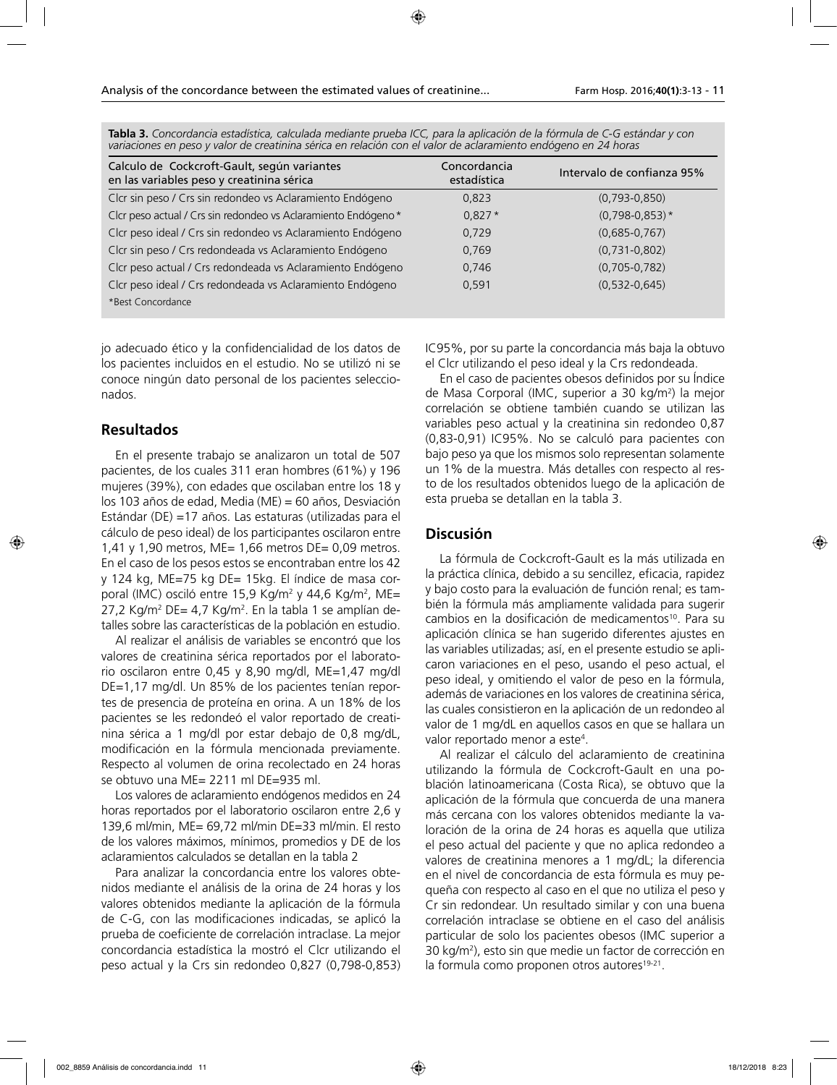| Calculo de Cockcroft-Gault, según variantes<br>en las variables peso y creatinina sérica | Concordancia<br>estadística | Intervalo de confianza 95% |
|------------------------------------------------------------------------------------------|-----------------------------|----------------------------|
| Clcr sin peso / Crs sin redondeo vs Aclaramiento Endógeno                                | 0.823                       | $(0.793 - 0.850)$          |
| Clcr peso actual / Crs sin redondeo vs Aclaramiento Endógeno*                            | $0.827*$                    | $(0,798-0,853)$ *          |
| Clcr peso ideal / Crs sin redondeo vs Aclaramiento Endógeno                              | 0,729                       | $(0.685 - 0.767)$          |
| Clcr sin peso / Crs redondeada vs Aclaramiento Endógeno                                  | 0,769                       | $(0,731-0,802)$            |
| Clcr peso actual / Crs redondeada vs Aclaramiento Endógeno                               | 0,746                       | $(0,705-0,782)$            |
| Clcr peso ideal / Crs redondeada vs Aclaramiento Endógeno                                | 0,591                       | $(0.532 - 0.645)$          |
| *Best Concordance                                                                        |                             |                            |

**Tabla 3.** *Concordancia estadística, calculada mediante prueba ICC, para la aplicación de la fórmula de C-G estándar y con variaciones en peso y valor de creatinina sérica en relación con el valor de aclaramiento endógeno en 24 horas*

jo adecuado ético y la confidencialidad de los datos de los pacientes incluidos en el estudio. No se utilizó ni se conoce ningún dato personal de los pacientes seleccionados.

### **Resultados**

En el presente trabajo se analizaron un total de 507 pacientes, de los cuales 311 eran hombres (61%) y 196 mujeres (39%), con edades que oscilaban entre los 18 y los 103 años de edad, Media (ME) = 60 años, Desviación Estándar (DE) =17 años. Las estaturas (utilizadas para el cálculo de peso ideal) de los participantes oscilaron entre 1,41 y 1,90 metros, ME= 1,66 metros DE= 0,09 metros. En el caso de los pesos estos se encontraban entre los 42 y 124 kg, ME=75 kg DE= 15kg. El índice de masa corporal (IMC) osciló entre 15,9 Kg/m<sup>2</sup> y 44,6 Kg/m<sup>2</sup>, ME= 27,2 Kg/m<sup>2</sup> DE= 4,7 Kg/m<sup>2</sup>. En la tabla 1 se amplían detalles sobre las características de la población en estudio.

Al realizar el análisis de variables se encontró que los valores de creatinina sérica reportados por el laboratorio oscilaron entre 0,45 y 8,90 mg/dl, ME=1,47 mg/dl DE=1,17 mg/dl. Un 85% de los pacientes tenían reportes de presencia de proteína en orina. A un 18% de los pacientes se les redondeó el valor reportado de creatinina sérica a 1 mg/dl por estar debajo de 0,8 mg/dL, modificación en la fórmula mencionada previamente. Respecto al volumen de orina recolectado en 24 horas se obtuvo una ME= 2211 ml DE=935 ml.

Los valores de aclaramiento endógenos medidos en 24 horas reportados por el laboratorio oscilaron entre 2,6 y 139,6 ml/min, ME= 69,72 ml/min DE=33 ml/min. El resto de los valores máximos, mínimos, promedios y DE de los aclaramientos calculados se detallan en la tabla 2

Para analizar la concordancia entre los valores obtenidos mediante el análisis de la orina de 24 horas y los valores obtenidos mediante la aplicación de la fórmula de C-G, con las modificaciones indicadas, se aplicó la prueba de coeficiente de correlación intraclase. La mejor concordancia estadística la mostró el Clcr utilizando el peso actual y la Crs sin redondeo 0,827 (0,798-0,853)

IC95%, por su parte la concordancia más baja la obtuvo el Clcr utilizando el peso ideal y la Crs redondeada.

En el caso de pacientes obesos definidos por su Índice de Masa Corporal (IMC, superior a 30 kg/m2 ) la mejor correlación se obtiene también cuando se utilizan las variables peso actual y la creatinina sin redondeo 0,87 (0,83-0,91) IC95%. No se calculó para pacientes con bajo peso ya que los mismos solo representan solamente un 1% de la muestra. Más detalles con respecto al resto de los resultados obtenidos luego de la aplicación de esta prueba se detallan en la tabla 3.

#### **Discusión**

La fórmula de Cockcroft-Gault es la más utilizada en la práctica clínica, debido a su sencillez, eficacia, rapidez y bajo costo para la evaluación de función renal; es también la fórmula más ampliamente validada para sugerir cambios en la dosificación de medicamentos<sup>10</sup>. Para su aplicación clínica se han sugerido diferentes ajustes en las variables utilizadas; así, en el presente estudio se aplicaron variaciones en el peso, usando el peso actual, el peso ideal, y omitiendo el valor de peso en la fórmula, además de variaciones en los valores de creatinina sérica, las cuales consistieron en la aplicación de un redondeo al valor de 1 mg/dL en aquellos casos en que se hallara un valor reportado menor a este4 .

Al realizar el cálculo del aclaramiento de creatinina utilizando la fórmula de Cockcroft-Gault en una población latinoamericana (Costa Rica), se obtuvo que la aplicación de la fórmula que concuerda de una manera más cercana con los valores obtenidos mediante la valoración de la orina de 24 horas es aquella que utiliza el peso actual del paciente y que no aplica redondeo a valores de creatinina menores a 1 mg/dL; la diferencia en el nivel de concordancia de esta fórmula es muy pequeña con respecto al caso en el que no utiliza el peso y Cr sin redondear. Un resultado similar y con una buena correlación intraclase se obtiene en el caso del análisis particular de solo los pacientes obesos (IMC superior a 30 kg/m2 ), esto sin que medie un factor de corrección en la formula como proponen otros autores<sup>19-21</sup>.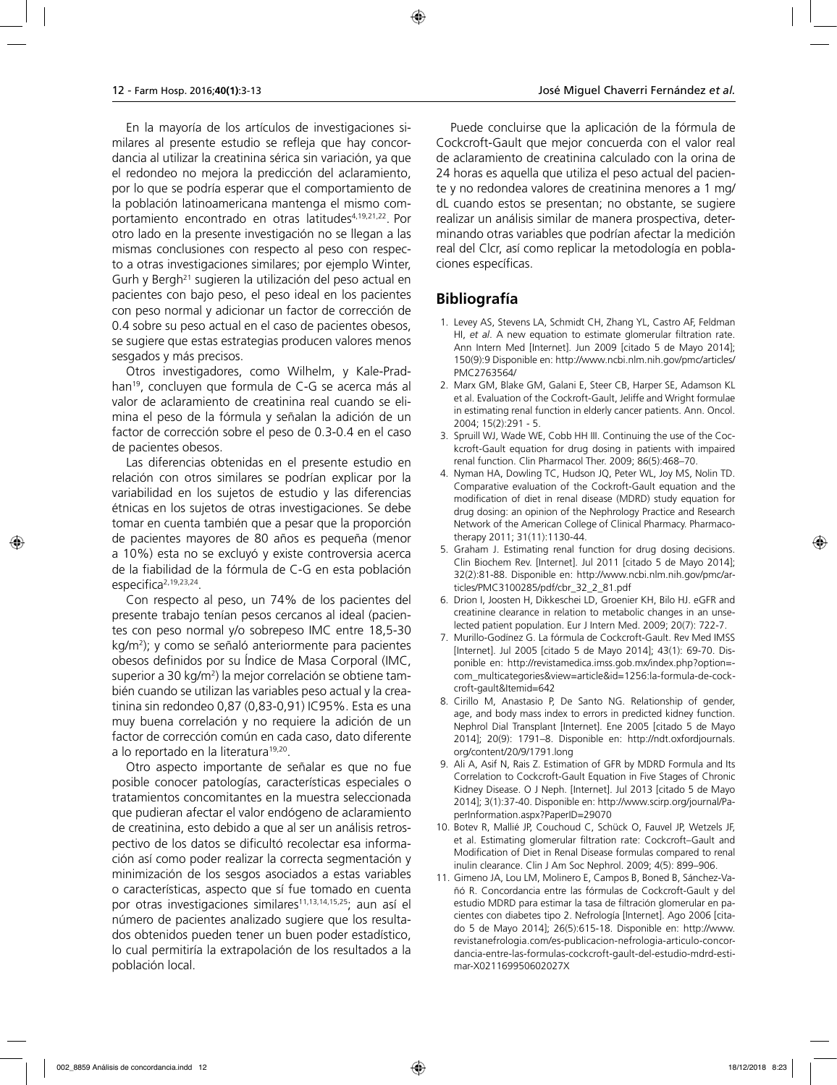En la mayoría de los artículos de investigaciones similares al presente estudio se refleja que hay concordancia al utilizar la creatinina sérica sin variación, ya que el redondeo no mejora la predicción del aclaramiento, por lo que se podría esperar que el comportamiento de la población latinoamericana mantenga el mismo comportamiento encontrado en otras latitudes<sup>4,19,21,22</sup>. Por otro lado en la presente investigación no se llegan a las mismas conclusiones con respecto al peso con respecto a otras investigaciones similares; por ejemplo Winter, Gurh y Bergh21 sugieren la utilización del peso actual en pacientes con bajo peso, el peso ideal en los pacientes con peso normal y adicionar un factor de corrección de 0.4 sobre su peso actual en el caso de pacientes obesos, se sugiere que estas estrategias producen valores menos sesgados y más precisos.

Otros investigadores, como Wilhelm, y Kale-Pradhan19, concluyen que formula de C-G se acerca más al valor de aclaramiento de creatinina real cuando se elimina el peso de la fórmula y señalan la adición de un factor de corrección sobre el peso de 0.3-0.4 en el caso de pacientes obesos.

Las diferencias obtenidas en el presente estudio en relación con otros similares se podrían explicar por la variabilidad en los sujetos de estudio y las diferencias étnicas en los sujetos de otras investigaciones. Se debe tomar en cuenta también que a pesar que la proporción de pacientes mayores de 80 años es pequeña (menor a 10%) esta no se excluyó y existe controversia acerca de la fiabilidad de la fórmula de C-G en esta población especifica2,19,23,24.

Con respecto al peso, un 74% de los pacientes del presente trabajo tenían pesos cercanos al ideal (pacientes con peso normal y/o sobrepeso IMC entre 18,5-30 kg/m<sup>2</sup>); y como se señaló anteriormente para pacientes obesos definidos por su Índice de Masa Corporal (IMC, superior a 30 kg/m2 ) la mejor correlación se obtiene también cuando se utilizan las variables peso actual y la creatinina sin redondeo 0,87 (0,83-0,91) IC95%. Esta es una muy buena correlación y no requiere la adición de un factor de corrección común en cada caso, dato diferente a lo reportado en la literatura<sup>19,20</sup>.

Otro aspecto importante de señalar es que no fue posible conocer patologías, características especiales o tratamientos concomitantes en la muestra seleccionada que pudieran afectar el valor endógeno de aclaramiento de creatinina, esto debido a que al ser un análisis retrospectivo de los datos se dificultó recolectar esa información así como poder realizar la correcta segmentación y minimización de los sesgos asociados a estas variables o características, aspecto que sí fue tomado en cuenta por otras investigaciones similares<sup>11,13,14,15,25</sup>; aun así el número de pacientes analizado sugiere que los resultados obtenidos pueden tener un buen poder estadístico, lo cual permitiría la extrapolación de los resultados a la población local.

Puede concluirse que la aplicación de la fórmula de Cockcroft-Gault que mejor concuerda con el valor real de aclaramiento de creatinina calculado con la orina de 24 horas es aquella que utiliza el peso actual del paciente y no redondea valores de creatinina menores a 1 mg/ dL cuando estos se presentan; no obstante, se sugiere realizar un análisis similar de manera prospectiva, determinando otras variables que podrían afectar la medición real del Clcr, así como replicar la metodología en poblaciones específicas.

# **Bibliografía**

- 1. Levey AS, Stevens LA, Schmidt CH, Zhang YL, Castro AF, Feldman HI, *et al*. A new equation to estimate glomerular filtration rate. Ann Intern Med [Internet]. Jun 2009 [citado 5 de Mayo 2014]; 150(9):9 Disponible en: http://www.ncbi.nlm.nih.gov/pmc/articles/ PMC2763564/
- 2. Marx GM, Blake GM, Galani E, Steer CB, Harper SE, Adamson KL et al. Evaluation of the Cockroft-Gault, Jeliffe and Wright formulae in estimating renal function in elderly cancer patients. Ann. Oncol. 2004; 15(2):291 - 5.
- 3. Spruill WJ, Wade WE, Cobb HH III. Continuing the use of the Cockcroft-Gault equation for drug dosing in patients with impaired renal function. Clin Pharmacol Ther. 2009; 86(5):468–70.
- 4. Nyman HA, Dowling TC, Hudson JQ, Peter WL, Joy MS, Nolin TD. Comparative evaluation of the Cockroft-Gault equation and the modification of diet in renal disease (MDRD) study equation for drug dosing: an opinion of the Nephrology Practice and Research Network of the American College of Clinical Pharmacy. Pharmacotherapy 2011; 31(11):1130-44.
- 5. Graham J. Estimating renal function for drug dosing decisions. Clin Biochem Rev. [Internet]. Jul 2011 [citado 5 de Mayo 2014]; 32(2):81-88. Disponible en: http://www.ncbi.nlm.nih.gov/pmc/articles/PMC3100285/pdf/cbr\_32\_2\_81.pdf
- 6. Drion I, Joosten H, Dikkeschei LD, Groenier KH, Bilo HJ. eGFR and creatinine clearance in relation to metabolic changes in an unselected patient population. Eur J Intern Med. 2009; 20(7): 722-7.
- 7. Murillo-Godínez G. La fórmula de Cockcroft-Gault. Rev Med IMSS [Internet]. Jul 2005 [citado 5 de Mayo 2014]; 43(1): 69-70. Disponible en: http://revistamedica.imss.gob.mx/index.php?option= com\_multicategories&view=article&id=1256:la-formula-de-cockcroft-gault&Itemid=642
- 8. Cirillo M, Anastasio P, De Santo NG. Relationship of gender, age, and body mass index to errors in predicted kidney function. Nephrol Dial Transplant [Internet]. Ene 2005 [citado 5 de Mayo 2014]; 20(9): 1791–8. Disponible en: http://ndt.oxfordjournals. org/content/20/9/1791.long
- 9. Ali A, Asif N, Rais Z. Estimation of GFR by MDRD Formula and Its Correlation to Cockcroft-Gault Equation in Five Stages of Chronic Kidney Disease. O J Neph. [Internet]. Jul 2013 [citado 5 de Mayo 2014]; 3(1):37-40. Disponible en: http://www.scirp.org/journal/PaperInformation.aspx?PaperID=29070
- 10. Botev R, Mallié JP, Couchoud C, Schück O, Fauvel JP, Wetzels JF, et al. Estimating glomerular filtration rate: Cockcroft–Gault and Modification of Diet in Renal Disease formulas compared to renal inulin clearance. Clin J Am Soc Nephrol. 2009; 4(5): 899–906.
- 11. Gimeno JA, Lou LM, Molinero E, Campos B, Boned B, Sánchez-Vañó R. Concordancia entre las fórmulas de Cockcroft-Gault y del estudio MDRD para estimar la tasa de filtración glomerular en pacientes con diabetes tipo 2. Nefrología [Internet]. Ago 2006 [citado 5 de Mayo 2014]; 26(5):615-18. Disponible en: http://www. revistanefrologia.com/es-publicacion-nefrologia-articulo-concordancia-entre-las-formulas-cockcroft-gault-del-estudio-mdrd-estimar-X021169950602027X